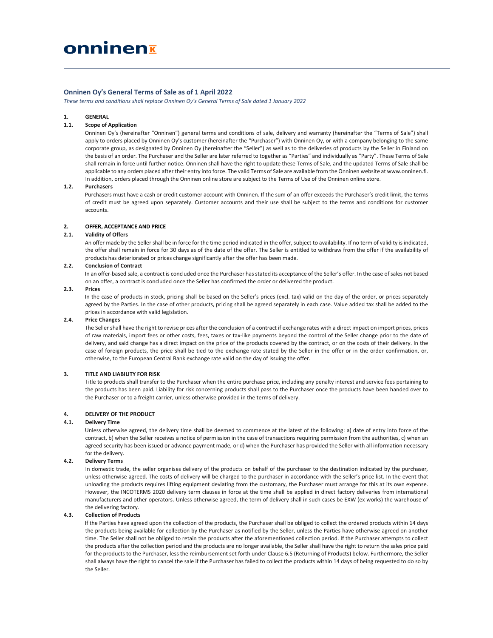# Onninen Oy's General Terms of Sale as of 1 April 2022

These terms and conditions shall replace Onninen Oy's General Terms of Sale dated 1 January 2022

# 1. GENERAL

## 1.1. Scope of Application

Onninen Oy's (hereinafter "Onninen") general terms and conditions of sale, delivery and warranty (hereinafter the "Terms of Sale") shall apply to orders placed by Onninen Oy's customer (hereinafter the "Purchaser") with Onninen Oy, or with a company belonging to the same corporate group, as designated by Onninen Oy (hereinafter the "Seller") as well as to the deliveries of products by the Seller in Finland on the basis of an order. The Purchaser and the Seller are later referred to together as "Parties" and individually as "Party". These Terms of Sale shall remain in force until further notice. Onninen shall have the right to update these Terms of Sale, and the updated Terms of Sale shall be applicable to any orders placed after their entry into force. The valid Terms of Sale are available from the Onninen website at www.onninen.fi. In addition, orders placed through the Onninen online store are subject to the Terms of Use of the Onninen online store.

## 1.2. Purchasers

Purchasers must have a cash or credit customer account with Onninen. If the sum of an offer exceeds the Purchaser's credit limit, the terms of credit must be agreed upon separately. Customer accounts and their use shall be subject to the terms and conditions for customer accounts.

## 2. OFFER, ACCEPTANCE AND PRICE

#### 2.1. Validity of Offers

An offer made by the Seller shall be in force for the time period indicated in the offer, subject to availability. If no term of validity is indicated, the offer shall remain in force for 30 days as of the date of the offer. The Seller is entitled to withdraw from the offer if the availability of products has deteriorated or prices change significantly after the offer has been made.

# 2.2. Conclusion of Contract

In an offer-based sale, a contract is concluded once the Purchaser has stated its acceptance of the Seller's offer. In the case of sales not based on an offer, a contract is concluded once the Seller has confirmed the order or delivered the product.

## 2.3. Prices

In the case of products in stock, pricing shall be based on the Seller's prices (excl. tax) valid on the day of the order, or prices separately agreed by the Parties. In the case of other products, pricing shall be agreed separately in each case. Value added tax shall be added to the prices in accordance with valid legislation.

### 2.4. Price Changes

The Seller shall have the right to revise prices after the conclusion of a contract if exchange rates with a direct impact on import prices, prices of raw materials, import fees or other costs, fees, taxes or tax-like payments beyond the control of the Seller change prior to the date of delivery, and said change has a direct impact on the price of the products covered by the contract, or on the costs of their delivery. In the case of foreign products, the price shall be tied to the exchange rate stated by the Seller in the offer or in the order confirmation, or, otherwise, to the European Central Bank exchange rate valid on the day of issuing the offer.

#### 3. TITLE AND LIABILITY FOR RISK

Title to products shall transfer to the Purchaser when the entire purchase price, including any penalty interest and service fees pertaining to the products has been paid. Liability for risk concerning products shall pass to the Purchaser once the products have been handed over to the Purchaser or to a freight carrier, unless otherwise provided in the terms of delivery.

#### 4. DELIVERY OF THE PRODUCT

#### 4.1. Delivery Time

Unless otherwise agreed, the delivery time shall be deemed to commence at the latest of the following: a) date of entry into force of the contract, b) when the Seller receives a notice of permission in the case of transactions requiring permission from the authorities, c) when an agreed security has been issued or advance payment made, or d) when the Purchaser has provided the Seller with all information necessary for the delivery.

#### 4.2. Delivery Terms

In domestic trade, the seller organises delivery of the products on behalf of the purchaser to the destination indicated by the purchaser, unless otherwise agreed. The costs of delivery will be charged to the purchaser in accordance with the seller's price list. In the event that unloading the products requires lifting equipment deviating from the customary, the Purchaser must arrange for this at its own expense. However, the INCOTERMS 2020 delivery term clauses in force at the time shall be applied in direct factory deliveries from international manufacturers and other operators. Unless otherwise agreed, the term of delivery shall in such cases be EXW (ex works) the warehouse of the delivering factory.

# 4.3. Collection of Products

If the Parties have agreed upon the collection of the products, the Purchaser shall be obliged to collect the ordered products within 14 days the products being available for collection by the Purchaser as notified by the Seller, unless the Parties have otherwise agreed on another time. The Seller shall not be obliged to retain the products after the aforementioned collection period. If the Purchaser attempts to collect the products after the collection period and the products are no longer available, the Seller shall have the right to return the sales price paid for the products to the Purchaser, less the reimbursement set forth under Clause 6.5 (Returning of Products) below. Furthermore, the Seller shall always have the right to cancel the sale if the Purchaser has failed to collect the products within 14 days of being requested to do so by the Seller.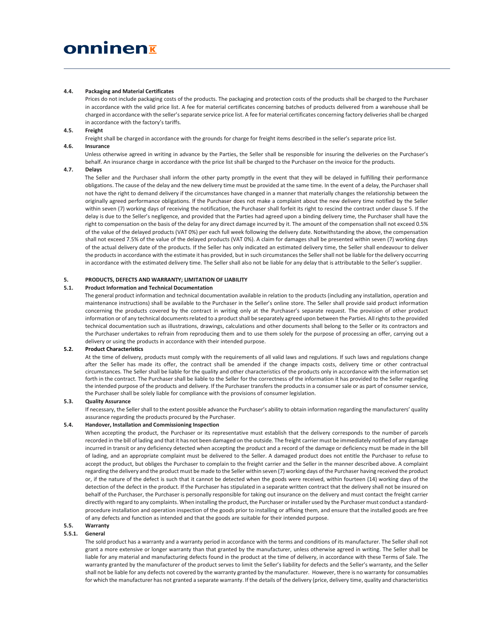# 4.4. Packaging and Material Certificates

Prices do not include packaging costs of the products. The packaging and protection costs of the products shall be charged to the Purchaser in accordance with the valid price list. A fee for material certificates concerning batches of products delivered from a warehouse shall be charged in accordance with the seller's separate service price list. A fee for material certificates concerning factory deliveries shall be charged in accordance with the factory's tariffs.

# 4.5. Freight

Freight shall be charged in accordance with the grounds for charge for freight items described in the seller's separate price list.

## 4.6. Insurance

Unless otherwise agreed in writing in advance by the Parties, the Seller shall be responsible for insuring the deliveries on the Purchaser's behalf. An insurance charge in accordance with the price list shall be charged to the Purchaser on the invoice for the products.

# 4.7. Delays

The Seller and the Purchaser shall inform the other party promptly in the event that they will be delayed in fulfilling their performance obligations. The cause of the delay and the new delivery time must be provided at the same time. In the event of a delay, the Purchaser shall not have the right to demand delivery if the circumstances have changed in a manner that materially changes the relationship between the originally agreed performance obligations. If the Purchaser does not make a complaint about the new delivery time notified by the Seller within seven (7) working days of receiving the notification, the Purchaser shall forfeit its right to rescind the contract under clause 5. If the delay is due to the Seller's negligence, and provided that the Parties had agreed upon a binding delivery time, the Purchaser shall have the right to compensation on the basis of the delay for any direct damage incurred by it. The amount of the compensation shall not exceed 0.5% of the value of the delayed products (VAT 0%) per each full week following the delivery date. Notwithstanding the above, the compensation shall not exceed 7.5% of the value of the delayed products (VAT 0%). A claim for damages shall be presented within seven (7) working days of the actual delivery date of the products. If the Seller has only indicated an estimated delivery time, the Seller shall endeavour to deliver the products in accordance with the estimate it has provided, but in such circumstances the Seller shall not be liable for the delivery occurring in accordance with the estimated delivery time. The Seller shall also not be liable for any delay that is attributable to the Seller's supplier.

# 5. PRODUCTS, DEFECTS AND WARRANTY; LIMITATION OF LIABILITY

#### 5.1. Product Information and Technical Documentation

The general product information and technical documentation available in relation to the products (including any installation, operation and maintenance instructions) shall be available to the Purchaser in the Seller's online store. The Seller shall provide said product information concerning the products covered by the contract in writing only at the Purchaser's separate request. The provision of other product information or of any technical documents related to a product shall be separately agreed upon between the Parties. All rights to the provided technical documentation such as illustrations, drawings, calculations and other documents shall belong to the Seller or its contractors and the Purchaser undertakes to refrain from reproducing them and to use them solely for the purpose of processing an offer, carrying out a delivery or using the products in accordance with their intended purpose.

# 5.2. Product Characteristics

At the time of delivery, products must comply with the requirements of all valid laws and regulations. If such laws and regulations change after the Seller has made its offer, the contract shall be amended if the change impacts costs, delivery time or other contractual circumstances. The Seller shall be liable for the quality and other characteristics of the products only in accordance with the information set forth in the contract. The Purchaser shall be liable to the Seller for the correctness of the information it has provided to the Seller regarding the intended purpose of the products and delivery. If the Purchaser transfers the products in a consumer sale or as part of consumer service, the Purchaser shall be solely liable for compliance with the provisions of consumer legislation.

# 5.3. Quality Assurance

If necessary, the Seller shall to the extent possible advance the Purchaser's ability to obtain information regarding the manufacturers' quality assurance regarding the products procured by the Purchaser.

# 5.4. Handover, Installation and Commissioning Inspection

When accepting the product, the Purchaser or its representative must establish that the delivery corresponds to the number of parcels recorded in the bill of lading and that it has not been damaged on the outside. The freight carrier must be immediately notified of any damage incurred in transit or any deficiency detected when accepting the product and a record of the damage or deficiency must be made in the bill of lading, and an appropriate complaint must be delivered to the Seller. A damaged product does not entitle the Purchaser to refuse to accept the product, but obliges the Purchaser to complain to the freight carrier and the Seller in the manner described above. A complaint regarding the delivery and the product must be made to the Seller within seven (7) working days of the Purchaser having received the product or, if the nature of the defect is such that it cannot be detected when the goods were received, within fourteen (14) working days of the detection of the defect in the product. If the Purchaser has stipulated in a separate written contract that the delivery shall not be insured on behalf of the Purchaser, the Purchaser is personally responsible for taking out insurance on the delivery and must contact the freight carrier directly with regard to any complaints. When installing the product, the Purchaser or installer used by the Purchaser must conduct a standardprocedure installation and operation inspection of the goods prior to installing or affixing them, and ensure that the installed goods are free of any defects and function as intended and that the goods are suitable for their intended purpose.

# 5.5. Warranty

## 5.5.1. General

The sold product has a warranty and a warranty period in accordance with the terms and conditions of its manufacturer. The Seller shall not grant a more extensive or longer warranty than that granted by the manufacturer, unless otherwise agreed in writing. The Seller shall be liable for any material and manufacturing defects found in the product at the time of delivery, in accordance with these Terms of Sale. The warranty granted by the manufacturer of the product serves to limit the Seller's liability for defects and the Seller's warranty, and the Seller shall not be liable for any defects not covered by the warranty granted by the manufacturer. However, there is no warranty for consumables for which the manufacturer has not granted a separate warranty. If the details of the delivery (price, delivery time, quality and characteristics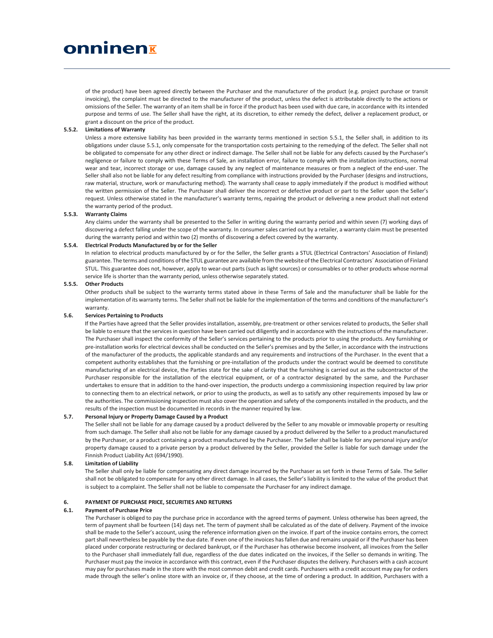of the product) have been agreed directly between the Purchaser and the manufacturer of the product (e.g. project purchase or transit invoicing), the complaint must be directed to the manufacturer of the product, unless the defect is attributable directly to the actions or omissions of the Seller. The warranty of an item shall be in force if the product has been used with due care, in accordance with its intended purpose and terms of use. The Seller shall have the right, at its discretion, to either remedy the defect, deliver a replacement product, or grant a discount on the price of the product.

# 5.5.2. Limitations of Warranty

Unless a more extensive liability has been provided in the warranty terms mentioned in section 5.5.1, the Seller shall, in addition to its obligations under clause 5.5.1, only compensate for the transportation costs pertaining to the remedying of the defect. The Seller shall not be obligated to compensate for any other direct or indirect damage. The Seller shall not be liable for any defects caused by the Purchaser's negligence or failure to comply with these Terms of Sale, an installation error, failure to comply with the installation instructions, normal wear and tear, incorrect storage or use, damage caused by any neglect of maintenance measures or from a neglect of the end-user. The Seller shall also not be liable for any defect resulting from compliance with instructions provided by the Purchaser (designs and instructions, raw material, structure, work or manufacturing method). The warranty shall cease to apply immediately if the product is modified without the written permission of the Seller. The Purchaser shall deliver the incorrect or defective product or part to the Seller upon the Seller's request. Unless otherwise stated in the manufacturer's warranty terms, repairing the product or delivering a new product shall not extend the warranty period of the product.

### 5.5.3. Warranty Claims

Any claims under the warranty shall be presented to the Seller in writing during the warranty period and within seven (7) working days of discovering a defect falling under the scope of the warranty. In consumer sales carried out by a retailer, a warranty claim must be presented during the warranty period and within two (2) months of discovering a defect covered by the warranty.

# 5.5.4. Electrical Products Manufactured by or for the Seller

In relation to electrical products manufactured by or for the Seller, the Seller grants a STUL (Electrical Contractors' Association of Finland) guarantee. The terms and conditions of the STUL guarantee are available from the website of the Electrical Contractors´ Association of Finland STUL. This guarantee does not, however, apply to wear-out parts (such as light sources) or consumables or to other products whose normal service life is shorter than the warranty period, unless otherwise separately stated.

## 5.5.5. Other Products

Other products shall be subject to the warranty terms stated above in these Terms of Sale and the manufacturer shall be liable for the implementation of its warranty terms. The Seller shall not be liable for the implementation of the terms and conditions of the manufacturer's warranty.

#### 5.6. Services Pertaining to Products

If the Parties have agreed that the Seller provides installation, assembly, pre-treatment or other services related to products, the Seller shall be liable to ensure that the services in question have been carried out diligently and in accordance with the instructions of the manufacturer. The Purchaser shall inspect the conformity of the Seller's services pertaining to the products prior to using the products. Any furnishing or pre-installation works for electrical devices shall be conducted on the Seller's premises and by the Seller, in accordance with the instructions of the manufacturer of the products, the applicable standards and any requirements and instructions of the Purchaser. In the event that a competent authority establishes that the furnishing or pre-installation of the products under the contract would be deemed to constitute manufacturing of an electrical device, the Parties state for the sake of clarity that the furnishing is carried out as the subcontractor of the Purchaser responsible for the installation of the electrical equipment, or of a contractor designated by the same, and the Purchaser undertakes to ensure that in addition to the hand-over inspection, the products undergo a commissioning inspection required by law prior to connecting them to an electrical network, or prior to using the products, as well as to satisfy any other requirements imposed by law or the authorities. The commissioning inspection must also cover the operation and safety of the components installed in the products, and the results of the inspection must be documented in records in the manner required by law.

#### 5.7. Personal Injury or Property Damage Caused by a Product

The Seller shall not be liable for any damage caused by a product delivered by the Seller to any movable or immovable property or resulting from such damage. The Seller shall also not be liable for any damage caused by a product delivered by the Seller to a product manufactured by the Purchaser, or a product containing a product manufactured by the Purchaser. The Seller shall be liable for any personal injury and/or property damage caused to a private person by a product delivered by the Seller, provided the Seller is liable for such damage under the Finnish Product Liability Act (694/1990).

#### 5.8. Limitation of Liability

The Seller shall only be liable for compensating any direct damage incurred by the Purchaser as set forth in these Terms of Sale. The Seller shall not be obligated to compensate for any other direct damage. In all cases, the Seller's liability is limited to the value of the product that is subject to a complaint. The Seller shall not be liable to compensate the Purchaser for any indirect damage.

## 6. PAYMENT OF PURCHASE PRICE, SECURITIES AND RETURNS

#### 6.1. Payment of Purchase Price

The Purchaser is obliged to pay the purchase price in accordance with the agreed terms of payment. Unless otherwise has been agreed, the term of payment shall be fourteen (14) days net. The term of payment shall be calculated as of the date of delivery. Payment of the invoice shall be made to the Seller's account, using the reference information given on the invoice. If part of the invoice contains errors, the correct part shall nevertheless be payable by the due date. If even one of the invoices has fallen due and remains unpaid or if the Purchaser has been placed under corporate restructuring or declared bankrupt, or if the Purchaser has otherwise become insolvent, all invoices from the Seller to the Purchaser shall immediately fall due, regardless of the due dates indicated on the invoices, if the Seller so demands in writing. The Purchaser must pay the invoice in accordance with this contract, even if the Purchaser disputes the delivery. Purchasers with a cash account may pay for purchases made in the store with the most common debit and credit cards. Purchasers with a credit account may pay for orders made through the seller's online store with an invoice or, if they choose, at the time of ordering a product. In addition, Purchasers with a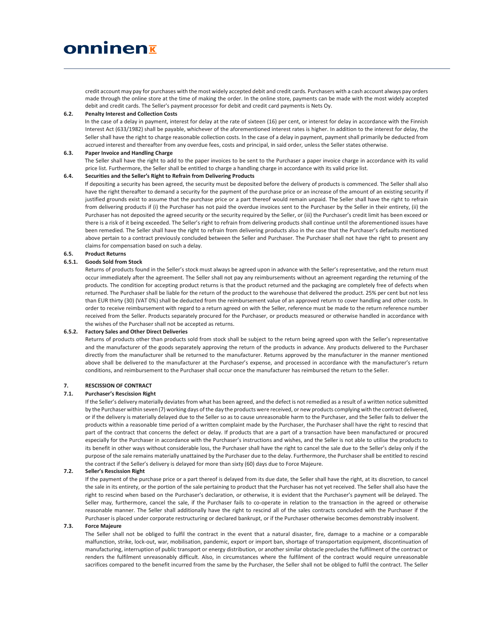credit account may pay for purchases with the most widely accepted debit and credit cards. Purchasers with a cash account always pay orders made through the online store at the time of making the order. In the online store, payments can be made with the most widely accepted debit and credit cards. The Seller's payment processor for debit and credit card payments is Nets Oy.

# 6.2. Penalty Interest and Collection Costs

In the case of a delay in payment, interest for delay at the rate of sixteen (16) per cent, or interest for delay in accordance with the Finnish Interest Act (633/1982) shall be payable, whichever of the aforementioned interest rates is higher. In addition to the interest for delay, the Seller shall have the right to charge reasonable collection costs. In the case of a delay in payment, payment shall primarily be deducted from accrued interest and thereafter from any overdue fees, costs and principal, in said order, unless the Seller states otherwise.

## 6.3. Paper Invoice and Handling Charge

The Seller shall have the right to add to the paper invoices to be sent to the Purchaser a paper invoice charge in accordance with its valid price list. Furthermore, the Seller shall be entitled to charge a handling charge in accordance with its valid price list.

# 6.4. Securities and the Seller's Right to Refrain from Delivering Products

If depositing a security has been agreed, the security must be deposited before the delivery of products is commenced. The Seller shall also have the right thereafter to demand a security for the payment of the purchase price or an increase of the amount of an existing security if justified grounds exist to assume that the purchase price or a part thereof would remain unpaid. The Seller shall have the right to refrain from delivering products if (i) the Purchaser has not paid the overdue invoices sent to the Purchaser by the Seller in their entirety, (ii) the Purchaser has not deposited the agreed security or the security required by the Seller, or (iii) the Purchaser's credit limit has been exceed or there is a risk of it being exceeded. The Seller's right to refrain from delivering products shall continue until the aforementioned issues have been remedied. The Seller shall have the right to refrain from delivering products also in the case that the Purchaser's defaults mentioned above pertain to a contract previously concluded between the Seller and Purchaser. The Purchaser shall not have the right to present any claims for compensation based on such a delay.

# 6.5. Product Returns

# 6.5.1. Goods Sold from Stock

Returns of products found in the Seller's stock must always be agreed upon in advance with the Seller's representative, and the return must occur immediately after the agreement. The Seller shall not pay any reimbursements without an agreement regarding the returning of the products. The condition for accepting product returns is that the product returned and the packaging are completely free of defects when returned. The Purchaser shall be liable for the return of the product to the warehouse that delivered the product. 25% per cent but not less than EUR thirty (30) (VAT 0%) shall be deducted from the reimbursement value of an approved return to cover handling and other costs. In order to receive reimbursement with regard to a return agreed on with the Seller, reference must be made to the return reference number received from the Seller. Products separately procured for the Purchaser, or products measured or otherwise handled in accordance with the wishes of the Purchaser shall not be accepted as returns.

# 6.5.2. Factory Sales and Other Direct Deliveries

Returns of products other than products sold from stock shall be subject to the return being agreed upon with the Seller's representative and the manufacturer of the goods separately approving the return of the products in advance. Any products delivered to the Purchaser directly from the manufacturer shall be returned to the manufacturer. Returns approved by the manufacturer in the manner mentioned above shall be delivered to the manufacturer at the Purchaser's expense, and processed in accordance with the manufacturer's return conditions, and reimbursement to the Purchaser shall occur once the manufacturer has reimbursed the return to the Seller.

# 7. RESCISSION OF CONTRACT

## 7.1. Purchaser's Rescission Right

If the Seller's delivery materially deviates from what has been agreed, and the defect is not remedied as a result of a written notice submitted by the Purchaser within seven (7) working days of the day the products were received, or new products complying with the contract delivered, or if the delivery is materially delayed due to the Seller so as to cause unreasonable harm to the Purchaser, and the Seller fails to deliver the products within a reasonable time period of a written complaint made by the Purchaser, the Purchaser shall have the right to rescind that part of the contract that concerns the defect or delay. If products that are a part of a transaction have been manufactured or procured especially for the Purchaser in accordance with the Purchaser's instructions and wishes, and the Seller is not able to utilise the products to its benefit in other ways without considerable loss, the Purchaser shall have the right to cancel the sale due to the Seller's delay only if the purpose of the sale remains materially unattained by the Purchaser due to the delay. Furthermore, the Purchaser shall be entitled to rescind the contract if the Seller's delivery is delayed for more than sixty (60) days due to Force Majeure.

# 7.2. Seller's Rescission Right

If the payment of the purchase price or a part thereof is delayed from its due date, the Seller shall have the right, at its discretion, to cancel the sale in its entirety, or the portion of the sale pertaining to product that the Purchaser has not yet received. The Seller shall also have the right to rescind when based on the Purchaser's declaration, or otherwise, it is evident that the Purchaser's payment will be delayed. The Seller may, furthermore, cancel the sale, if the Purchaser fails to co-operate in relation to the transaction in the agreed or otherwise reasonable manner. The Seller shall additionally have the right to rescind all of the sales contracts concluded with the Purchaser if the Purchaser is placed under corporate restructuring or declared bankrupt, or if the Purchaser otherwise becomes demonstrably insolvent.

# 7.3. Force Majeure

The Seller shall not be obliged to fulfil the contract in the event that a natural disaster, fire, damage to a machine or a comparable malfunction, strike, lock-out, war, mobilisation, pandemic, export or import ban, shortage of transportation equipment, discontinuation of manufacturing, interruption of public transport or energy distribution, or another similar obstacle precludes the fulfilment of the contract or renders the fulfilment unreasonably difficult. Also, in circumstances where the fulfilment of the contract would require unreasonable sacrifices compared to the benefit incurred from the same by the Purchaser, the Seller shall not be obliged to fulfil the contract. The Seller